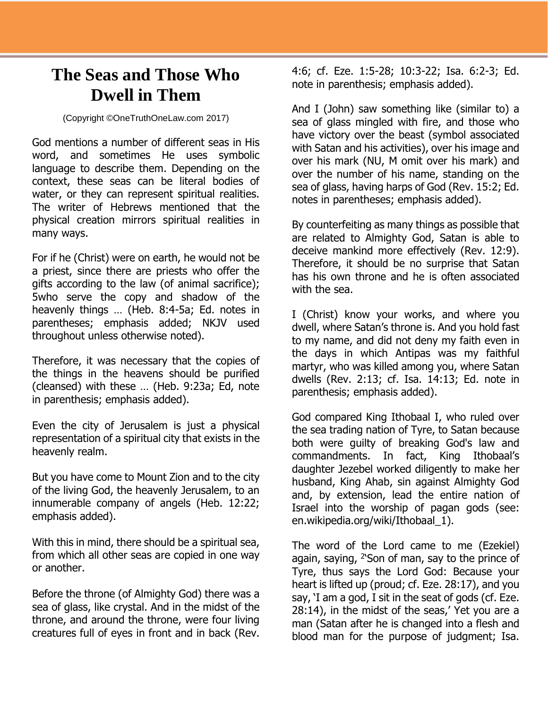## **The Seas and Those Who Dwell in Them**

## (Copyright ©OneTruthOneLaw.com 2017)

God mentions a number of different seas in His word, and sometimes He uses symbolic language to describe them. Depending on the context, these seas can be literal bodies of water, or they can represent spiritual realities. The writer of Hebrews mentioned that the physical creation mirrors spiritual realities in many ways.

For if he (Christ) were on earth, he would not be a priest, since there are priests who offer the gifts according to the law (of animal sacrifice); 5who serve the copy and shadow of the heavenly things … (Heb. 8:4-5a; Ed. notes in parentheses; emphasis added; NKJV used throughout unless otherwise noted).

Therefore, it was necessary that the copies of the things in the heavens should be purified (cleansed) with these … (Heb. 9:23a; Ed, note in parenthesis; emphasis added).

Even the city of Jerusalem is just a physical representation of a spiritual city that exists in the heavenly realm.

But you have come to Mount Zion and to the city of the living God, the heavenly Jerusalem, to an innumerable company of angels (Heb. 12:22; emphasis added).

With this in mind, there should be a spiritual sea, from which all other seas are copied in one way or another.

Before the throne (of Almighty God) there was a sea of glass, like crystal. And in the midst of the throne, and around the throne, were four living creatures full of eyes in front and in back (Rev.

4:6; cf. Eze. 1:5-28; 10:3-22; Isa. 6:2-3; Ed. note in parenthesis; emphasis added).

And I (John) saw something like (similar to) a sea of glass mingled with fire, and those who have victory over the beast (symbol associated with Satan and his activities), over his image and over his mark (NU, M omit over his mark) and over the number of his name, standing on the sea of glass, having harps of God (Rev. 15:2; Ed. notes in parentheses; emphasis added).

By counterfeiting as many things as possible that are related to Almighty God, Satan is able to deceive mankind more effectively (Rev. 12:9). Therefore, it should be no surprise that Satan has his own throne and he is often associated with the sea.

I (Christ) know your works, and where you dwell, where Satan's throne is. And you hold fast to my name, and did not deny my faith even in the days in which Antipas was my faithful martyr, who was killed among you, where Satan dwells (Rev. 2:13; cf. Isa. 14:13; Ed. note in parenthesis; emphasis added).

God compared King Ithobaal I, who ruled over the sea trading nation of Tyre, to Satan because both were guilty of breaking God's law and commandments. In fact, King Ithobaal's daughter Jezebel worked diligently to make her husband, King Ahab, sin against Almighty God and, by extension, lead the entire nation of Israel into the worship of pagan gods (see: en.wikipedia.org/wiki/Ithobaal\_1).

The word of the Lord came to me (Ezekiel) again, saying,  $^{2}$ Son of man, say to the prince of Tyre, thus says the Lord God: Because your heart is lifted up (proud; cf. Eze. 28:17), and you say, 'I am a god, I sit in the seat of gods (cf. Eze. 28:14), in the midst of the seas,' Yet you are a man (Satan after he is changed into a flesh and blood man for the purpose of judgment; Isa.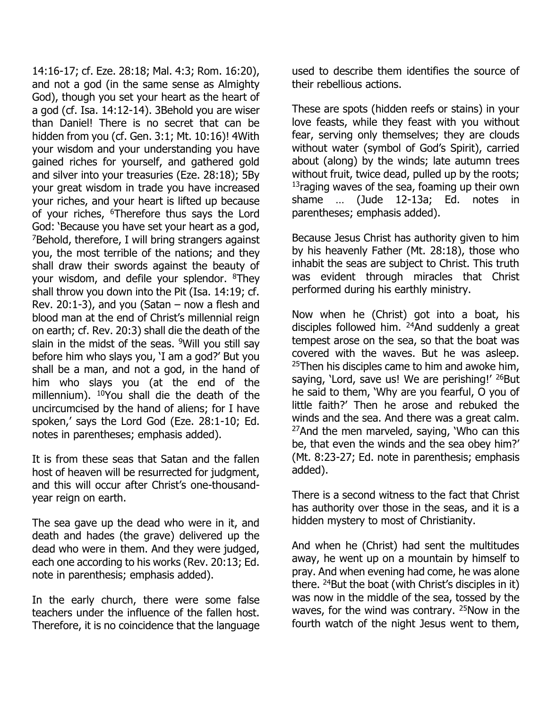14:16-17; cf. Eze. 28:18; Mal. 4:3; Rom. 16:20), and not a god (in the same sense as Almighty God), though you set your heart as the heart of a god (cf. Isa. 14:12-14). 3Behold you are wiser than Daniel! There is no secret that can be hidden from you (cf. Gen. 3:1; Mt. 10:16)! 4With your wisdom and your understanding you have gained riches for yourself, and gathered gold and silver into your treasuries (Eze. 28:18); 5By your great wisdom in trade you have increased your riches, and your heart is lifted up because of your riches, <sup>6</sup>Therefore thus says the Lord God: 'Because you have set your heart as a god,  $7$ Behold, therefore, I will bring strangers against you, the most terrible of the nations; and they shall draw their swords against the beauty of your wisdom, and defile your splendor. <sup>8</sup>They shall throw you down into the Pit (Isa. 14:19; cf. Rev. 20:1-3), and you (Satan  $-$  now a flesh and blood man at the end of Christ's millennial reign on earth; cf. Rev. 20:3) shall die the death of the slain in the midst of the seas.  $9$ Will you still say before him who slays you, 'I am a god?' But you shall be a man, and not a god, in the hand of him who slays you (at the end of the millennium). <sup>10</sup>You shall die the death of the uncircumcised by the hand of aliens; for I have spoken,' says the Lord God (Eze. 28:1-10; Ed. notes in parentheses; emphasis added).

It is from these seas that Satan and the fallen host of heaven will be resurrected for judgment, and this will occur after Christ's one-thousandyear reign on earth.

The sea gave up the dead who were in it, and death and hades (the grave) delivered up the dead who were in them. And they were judged, each one according to his works (Rev. 20:13; Ed. note in parenthesis; emphasis added).

In the early church, there were some false teachers under the influence of the fallen host. Therefore, it is no coincidence that the language used to describe them identifies the source of their rebellious actions.

These are spots (hidden reefs or stains) in your love feasts, while they feast with you without fear, serving only themselves; they are clouds without water (symbol of God's Spirit), carried about (along) by the winds; late autumn trees without fruit, twice dead, pulled up by the roots; <sup>13</sup>raging waves of the sea, foaming up their own shame … (Jude 12-13a; Ed. notes in parentheses; emphasis added).

Because Jesus Christ has authority given to him by his heavenly Father (Mt. 28:18), those who inhabit the seas are subject to Christ. This truth was evident through miracles that Christ performed during his earthly ministry.

Now when he (Christ) got into a boat, his disciples followed him. <sup>24</sup>And suddenly a great tempest arose on the sea, so that the boat was covered with the waves. But he was asleep.  $25$ Then his disciples came to him and awoke him, saying, 'Lord, save us! We are perishing!' <sup>26</sup>But he said to them, 'Why are you fearful, O you of little faith?' Then he arose and rebuked the winds and the sea. And there was a great calm.  $27$ And the men marveled, saying, 'Who can this be, that even the winds and the sea obey him?' (Mt. 8:23-27; Ed. note in parenthesis; emphasis added).

There is a second witness to the fact that Christ has authority over those in the seas, and it is a hidden mystery to most of Christianity.

And when he (Christ) had sent the multitudes away, he went up on a mountain by himself to pray. And when evening had come, he was alone there.  $^{24}$ But the boat (with Christ's disciples in it) was now in the middle of the sea, tossed by the waves, for the wind was contrary. <sup>25</sup>Now in the fourth watch of the night Jesus went to them,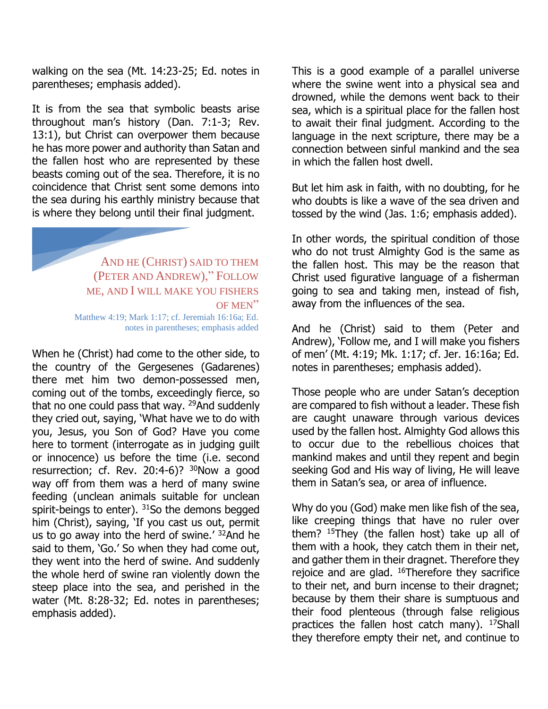walking on the sea (Mt. 14:23-25; Ed. notes in parentheses; emphasis added).

It is from the sea that symbolic beasts arise throughout man's history (Dan. 7:1-3; Rev. 13:1), but Christ can overpower them because he has more power and authority than Satan and the fallen host who are represented by these beasts coming out of the sea. Therefore, it is no coincidence that Christ sent some demons into the sea during his earthly ministry because that is where they belong until their final judgment.

AND HE (CHRIST) SAID TO THEM (PETER AND ANDREW)," FOLLOW ME, AND I WILL MAKE YOU FISHERS OF MEN" Matthew 4:19; Mark 1:17; cf. Jeremiah 16:16a; Ed. notes in parentheses; emphasis added

When he (Christ) had come to the other side, to the country of the Gergesenes (Gadarenes) there met him two demon-possessed men, coming out of the tombs, exceedingly fierce, so that no one could pass that way. <sup>29</sup>And suddenly they cried out, saying, 'What have we to do with you, Jesus, you Son of God? Have you come here to torment (interrogate as in judging guilt or innocence) us before the time (i.e. second resurrection; cf. Rev. 20:4-6)? <sup>30</sup>Now a good way off from them was a herd of many swine feeding (unclean animals suitable for unclean spirit-beings to enter). <sup>31</sup>So the demons begged him (Christ), saying, 'If you cast us out, permit us to go away into the herd of swine.' <sup>32</sup>And he said to them, 'Go.' So when they had come out, they went into the herd of swine. And suddenly the whole herd of swine ran violently down the steep place into the sea, and perished in the water (Mt. 8:28-32; Ed. notes in parentheses; emphasis added).

This is a good example of a parallel universe where the swine went into a physical sea and drowned, while the demons went back to their sea, which is a spiritual place for the fallen host to await their final judgment. According to the language in the next scripture, there may be a connection between sinful mankind and the sea in which the fallen host dwell.

But let him ask in faith, with no doubting, for he who doubts is like a wave of the sea driven and tossed by the wind (Jas. 1:6; emphasis added).

In other words, the spiritual condition of those who do not trust Almighty God is the same as the fallen host. This may be the reason that Christ used figurative language of a fisherman going to sea and taking men, instead of fish, away from the influences of the sea.

And he (Christ) said to them (Peter and Andrew), 'Follow me, and I will make you fishers of men' (Mt. 4:19; Mk. 1:17; cf. Jer. 16:16a; Ed. notes in parentheses; emphasis added).

Those people who are under Satan's deception are compared to fish without a leader. These fish are caught unaware through various devices used by the fallen host. Almighty God allows this to occur due to the rebellious choices that mankind makes and until they repent and begin seeking God and His way of living, He will leave them in Satan's sea, or area of influence.

Why do you (God) make men like fish of the sea, like creeping things that have no ruler over them? <sup>15</sup>They (the fallen host) take up all of them with a hook, they catch them in their net, and gather them in their dragnet. Therefore they rejoice and are glad. <sup>16</sup>Therefore they sacrifice to their net, and burn incense to their dragnet; because by them their share is sumptuous and their food plenteous (through false religious practices the fallen host catch many). <sup>17</sup>Shall they therefore empty their net, and continue to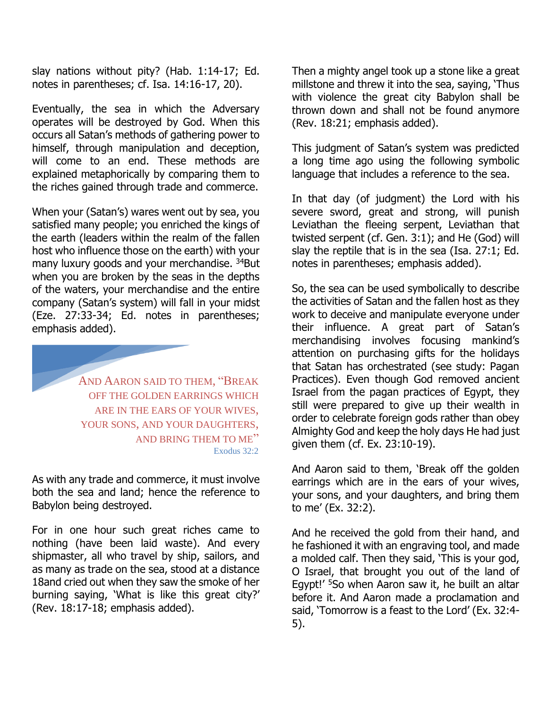slay nations without pity? (Hab. 1:14-17; Ed. notes in parentheses; cf. Isa. 14:16-17, 20).

Eventually, the sea in which the Adversary operates will be destroyed by God. When this occurs all Satan's methods of gathering power to himself, through manipulation and deception, will come to an end. These methods are explained metaphorically by comparing them to the riches gained through trade and commerce.

When your (Satan's) wares went out by sea, you satisfied many people; you enriched the kings of the earth (leaders within the realm of the fallen host who influence those on the earth) with your many luxury goods and your merchandise. <sup>34</sup>But when you are broken by the seas in the depths of the waters, your merchandise and the entire company (Satan's system) will fall in your midst (Eze. 27:33-34; Ed. notes in parentheses; emphasis added).

> AND AARON SAID TO THEM, "BREAK OFF THE GOLDEN EARRINGS WHICH ARE IN THE EARS OF YOUR WIVES, YOUR SONS, AND YOUR DAUGHTERS, AND BRING THEM TO ME" Exodus 32:2

As with any trade and commerce, it must involve both the sea and land; hence the reference to Babylon being destroyed.

For in one hour such great riches came to nothing (have been laid waste). And every shipmaster, all who travel by ship, sailors, and as many as trade on the sea, stood at a distance 18and cried out when they saw the smoke of her burning saying, 'What is like this great city?' (Rev. 18:17-18; emphasis added).

Then a mighty angel took up a stone like a great millstone and threw it into the sea, saying, 'Thus with violence the great city Babylon shall be thrown down and shall not be found anymore (Rev. 18:21; emphasis added).

This judgment of Satan's system was predicted a long time ago using the following symbolic language that includes a reference to the sea.

In that day (of judgment) the Lord with his severe sword, great and strong, will punish Leviathan the fleeing serpent, Leviathan that twisted serpent (cf. Gen. 3:1); and He (God) will slay the reptile that is in the sea (Isa. 27:1; Ed. notes in parentheses; emphasis added).

So, the sea can be used symbolically to describe the activities of Satan and the fallen host as they work to deceive and manipulate everyone under their influence. A great part of Satan's merchandising involves focusing mankind's attention on purchasing gifts for the holidays that Satan has orchestrated (see study: Pagan Practices). Even though God removed ancient Israel from the pagan practices of Egypt, they still were prepared to give up their wealth in order to celebrate foreign gods rather than obey Almighty God and keep the holy days He had just given them (cf. Ex. 23:10-19).

And Aaron said to them, 'Break off the golden earrings which are in the ears of your wives, your sons, and your daughters, and bring them to me' (Ex. 32:2).

And he received the gold from their hand, and he fashioned it with an engraving tool, and made a molded calf. Then they said, 'This is your god, O Israel, that brought you out of the land of Egypt!' <sup>5</sup>So when Aaron saw it, he built an altar before it. And Aaron made a proclamation and said, 'Tomorrow is a feast to the Lord' (Ex. 32:4- 5).